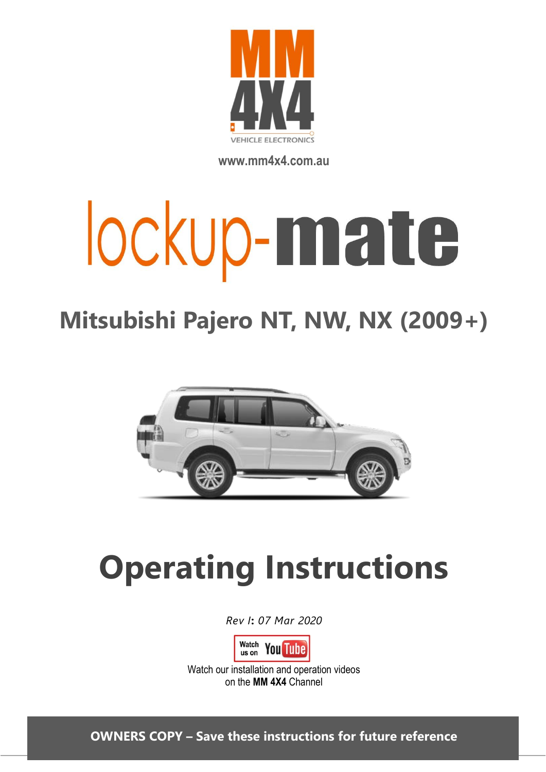

**www.mm4x4.com.au**

# lockup-mate

# **Mitsubishi Pajero NT, NW, NX (2009+)**



# **Operating Instructions**

*Rev I***:** *07 Mar 2020*



Watch our installation and operation videos on the **MM 4X4** Channel

**OWNERS COPY – Save these instructions for future reference**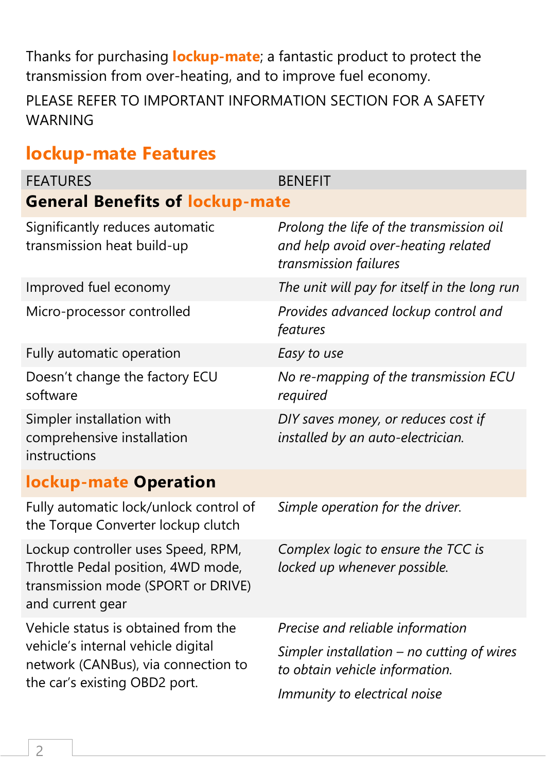Thanks for purchasing **lockup-mate**; a fantastic product to protect the transmission from over-heating, and to improve fuel economy.

PLEASE REFER TO IMPORTANT INFORMATION SECTION FOR A SAFETY WARNING

### **lockup-mate Features**

| <b>FEATURES</b>                                                                                                                                   | <b>BENEFIT</b>                                                                                                                                     |  |
|---------------------------------------------------------------------------------------------------------------------------------------------------|----------------------------------------------------------------------------------------------------------------------------------------------------|--|
| <b>General Benefits of lockup-mate</b>                                                                                                            |                                                                                                                                                    |  |
| Significantly reduces automatic<br>transmission heat build-up                                                                                     | Prolong the life of the transmission oil<br>and help avoid over-heating related<br>transmission failures                                           |  |
| Improved fuel economy                                                                                                                             | The unit will pay for itself in the long run                                                                                                       |  |
| Micro-processor controlled                                                                                                                        | Provides advanced lockup control and<br>features                                                                                                   |  |
| Fully automatic operation                                                                                                                         | Easy to use                                                                                                                                        |  |
| Doesn't change the factory ECU<br>software                                                                                                        | No re-mapping of the transmission ECU<br>required                                                                                                  |  |
| Simpler installation with<br>comprehensive installation<br>instructions                                                                           | DIY saves money, or reduces cost if<br>installed by an auto-electrician.                                                                           |  |
| <b>lockup-mate Operation</b>                                                                                                                      |                                                                                                                                                    |  |
| Fully automatic lock/unlock control of<br>the Torque Converter lockup clutch                                                                      | Simple operation for the driver.                                                                                                                   |  |
| Lockup controller uses Speed, RPM,<br>Throttle Pedal position, 4WD mode,<br>transmission mode (SPORT or DRIVE)<br>and current gear                | Complex logic to ensure the TCC is<br>locked up whenever possible.                                                                                 |  |
| Vehicle status is obtained from the<br>vehicle's internal vehicle digital<br>network (CANBus), via connection to<br>the car's existing OBD2 port. | Precise and reliable information<br>Simpler installation $-$ no cutting of wires<br>to obtain vehicle information.<br>Immunity to electrical noise |  |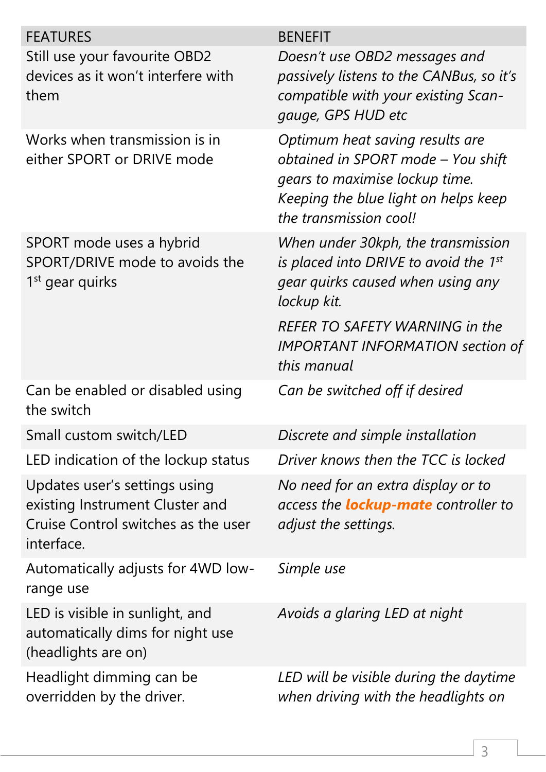| <b>FEATURES</b>                                                                                                       | <b>BENEFIT</b>                                                                                                                                                                                                      |
|-----------------------------------------------------------------------------------------------------------------------|---------------------------------------------------------------------------------------------------------------------------------------------------------------------------------------------------------------------|
| Still use your favourite OBD2<br>devices as it won't interfere with<br>them                                           | Doesn't use OBD2 messages and<br>passively listens to the CANBus, so it's<br>compatible with your existing Scan-<br>gauge, GPS HUD etc                                                                              |
| Works when transmission is in<br>either SPORT or DRIVE mode                                                           | Optimum heat saving results are<br>obtained in SPORT mode - You shift<br>gears to maximise lockup time.<br>Keeping the blue light on helps keep<br>the transmission cool!                                           |
| SPORT mode uses a hybrid<br>SPORT/DRIVE mode to avoids the<br>1 <sup>st</sup> gear quirks                             | When under 30kph, the transmission<br>is placed into DRIVE to avoid the 1st<br>gear quirks caused when using any<br>lockup kit.<br><b>REFER TO SAFETY WARNING in the</b><br><b>IMPORTANT INFORMATION section of</b> |
|                                                                                                                       | this manual                                                                                                                                                                                                         |
| Can be enabled or disabled using<br>the switch                                                                        | Can be switched off if desired                                                                                                                                                                                      |
| Small custom switch/LED                                                                                               | Discrete and simple installation                                                                                                                                                                                    |
| LED indication of the lockup status                                                                                   | Driver knows then the TCC is locked                                                                                                                                                                                 |
| Updates user's settings using<br>existing Instrument Cluster and<br>Cruise Control switches as the user<br>interface. | No need for an extra display or to<br>access the <b>lockup-mate</b> controller to<br>adjust the settings.                                                                                                           |
| Automatically adjusts for 4WD low-<br>range use                                                                       | Simple use                                                                                                                                                                                                          |
| LED is visible in sunlight, and<br>automatically dims for night use<br>(headlights are on)                            | Avoids a glaring LED at night                                                                                                                                                                                       |
| Headlight dimming can be<br>overridden by the driver.                                                                 | LED will be visible during the daytime<br>when driving with the headlights on                                                                                                                                       |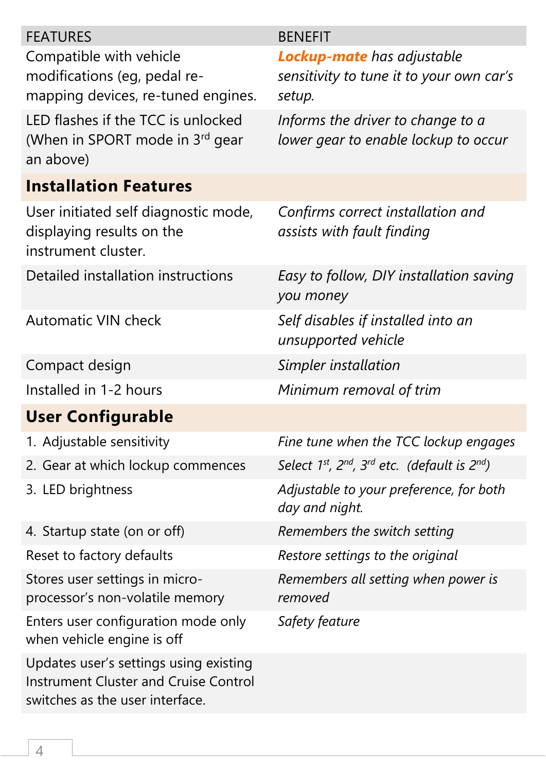| <b>FEATURES</b>                                                                                                           | <b>BENEFIT</b>                                                    |
|---------------------------------------------------------------------------------------------------------------------------|-------------------------------------------------------------------|
| Compatible with vehicle                                                                                                   | <b>Lockup-mate</b> has adjustable                                 |
| modifications (eg, pedal re-<br>mapping devices, re-tuned engines.                                                        | sensitivity to tune it to your own car's<br>setup.                |
| LED flashes if the TCC is unlocked                                                                                        | Informs the driver to change to a                                 |
| (When in SPORT mode in 3rd gear<br>an above)                                                                              | lower gear to enable lockup to occur                              |
| <b>Installation Features</b>                                                                                              |                                                                   |
| User initiated self diagnostic mode,<br>displaying results on the<br>instrument cluster.                                  | Confirms correct installation and<br>assists with fault finding   |
| Detailed installation instructions                                                                                        | Easy to follow, DIY installation saving<br>you money              |
| <b>Automatic VIN check</b>                                                                                                | Self disables if installed into an<br>unsupported vehicle         |
| Compact design                                                                                                            | Simpler installation                                              |
| Installed in 1-2 hours                                                                                                    | Minimum removal of trim                                           |
| <b>User Configurable</b>                                                                                                  |                                                                   |
| 1. Adjustable sensitivity                                                                                                 | Fine tune when the TCC lockup engages                             |
| 2. Gear at which lockup commences                                                                                         | Select $1^{st}$ , $2^{nd}$ , $3^{rd}$ etc. (default is $2^{nd}$ ) |
| 3. LED brightness                                                                                                         | Adjustable to your preference, for both<br>day and night.         |
| 4. Startup state (on or off)                                                                                              | Remembers the switch setting                                      |
| Reset to factory defaults                                                                                                 | Restore settings to the original                                  |
| Stores user settings in micro-<br>processor's non-volatile memory                                                         | Remembers all setting when power is<br>removed                    |
| Enters user configuration mode only<br>when vehicle engine is off                                                         | Safety feature                                                    |
| Updates user's settings using existing<br><b>Instrument Cluster and Cruise Control</b><br>switches as the user interface. |                                                                   |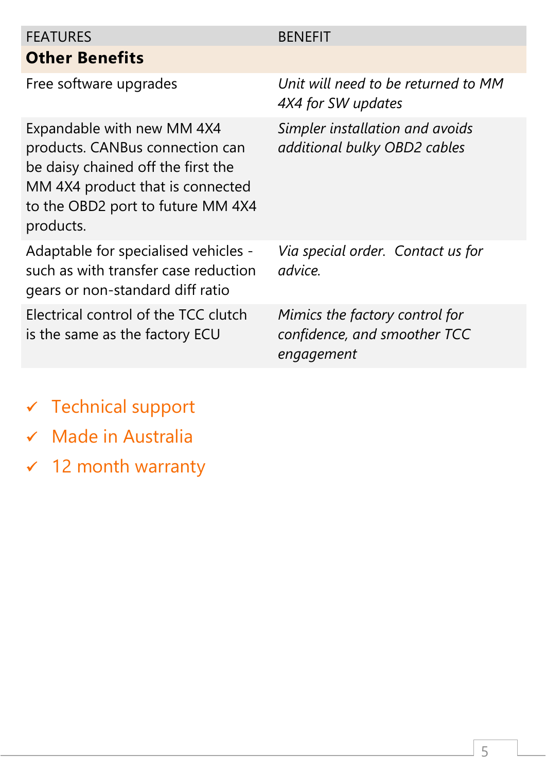### FEATURES BENEFIT **Other Benefits**

Expandable with new MM 4X4 products. CANBus connection can be daisy chained off the first the MM 4X4 product that is connected to the OBD2 port to future MM 4X4 products.

Adaptable for specialised vehicles such as with transfer case reduction gears or non-standard diff ratio

Electrical control of the TCC clutch is the same as the factory ECU

Free software upgrades *Unit will need to be returned to MM 4X4 for SW updates*

> *Simpler installation and avoids additional bulky OBD2 cables*

*Via special order. Contact us for advice.*

*Mimics the factory control for confidence, and smoother TCC engagement*

- ✓ Technical support
- ✓ Made in Australia
- ✓ 12 month warranty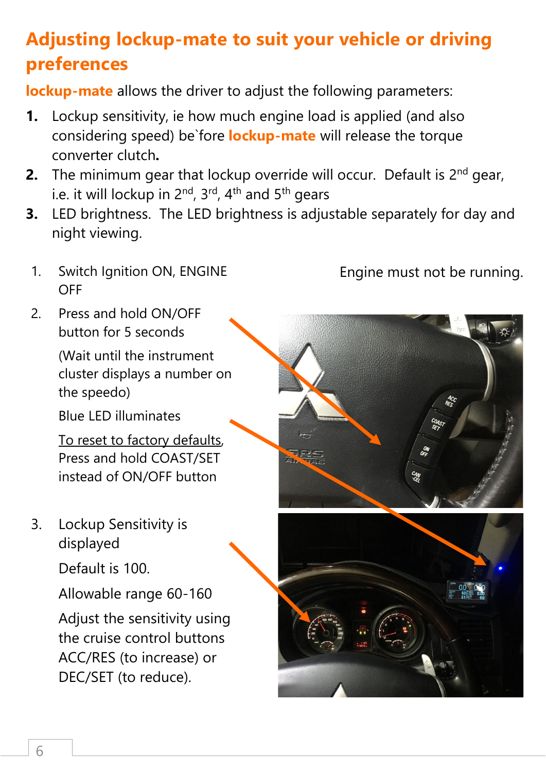# **Adjusting lockup-mate to suit your vehicle or driving preferences**

**lockup-mate** allows the driver to adjust the following parameters:

- **1.** Lockup sensitivity, ie how much engine load is applied (and also considering speed) be`fore **lockup-mate** will release the torque converter clutch**.**
- **2.** The minimum gear that lockup override will occur. Default is 2<sup>nd</sup> gear, i.e. it will lockup in 2<sup>nd</sup>, 3<sup>rd</sup>, 4<sup>th</sup> and 5<sup>th</sup> gears
- **3.** LED brightness. The LED brightness is adjustable separately for day and night viewing.
- 1. Switch Ignition ON, ENGINE OFF
- 2. Press and hold ON/OFF button for 5 seconds

(Wait until the instrument cluster displays a number on the speedo)

Blue LED illuminates

To reset to factory defaults, Press and hold COAST/SET instead of ON/OFF button

3. Lockup Sensitivity is displayed

Default is 100.

Allowable range 60-160

Adjust the sensitivity using the cruise control buttons ACC/RES (to increase) or DEC/SET (to reduce).

Engine must not be running.

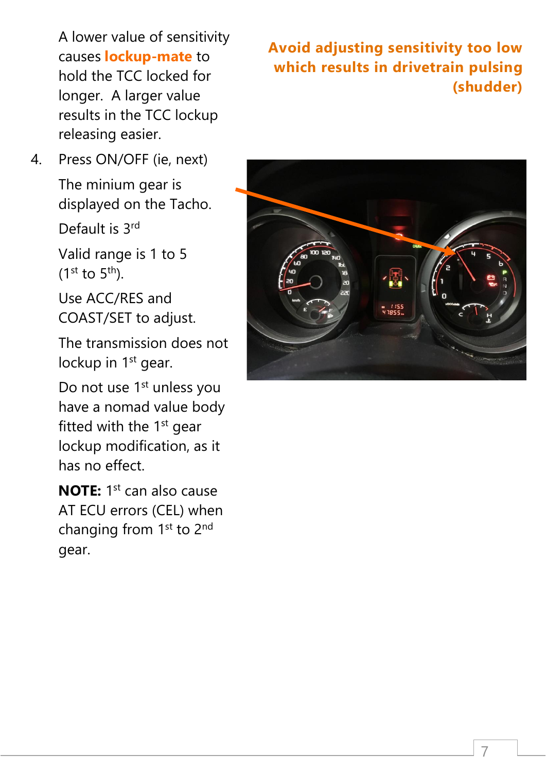A lower value of sensitivity causes **lockup-mate** to hold the TCC locked for longer. A larger value results in the TCC lockup releasing easier.

4. Press ON/OFF (ie, next)

The minium gear is displayed on the Tacho.

Default is 3rd

Valid range is 1 to 5  $(1^{st}$  to  $5^{th})$ .

Use ACC/RES and COAST/SET to adjust.

The transmission does not lockup in 1<sup>st</sup> gear.

Do not use 1<sup>st</sup> unless you have a nomad value body fitted with the  $1<sup>st</sup>$  gear lockup modification, as it has no effect.

**NOTE:** 1<sup>st</sup> can also cause AT ECU errors (CEL) when changing from 1<sup>st</sup> to 2<sup>nd</sup> gear.

### **Avoid adjusting sensitivity too low which results in drivetrain pulsing (shudder)**

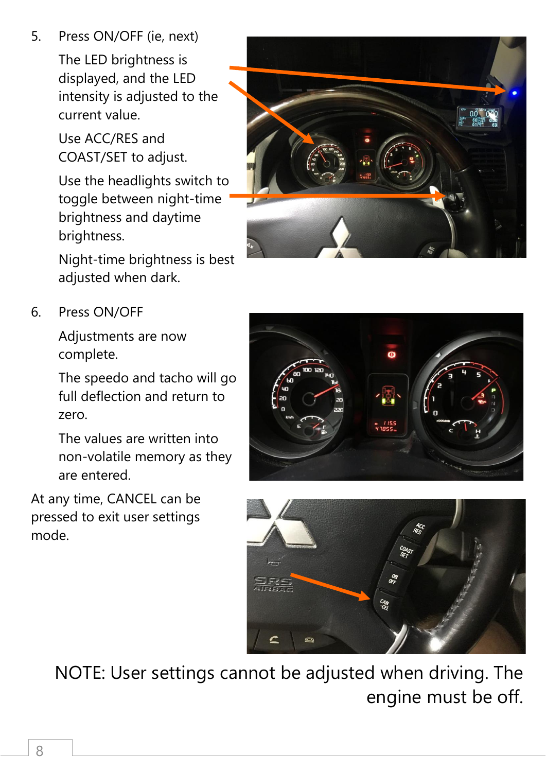5. Press ON/OFF (ie, next)

The LED brightness is displayed, and the LED intensity is adjusted to the current value.

Use ACC/RES and COAST/SET to adjust.

Use the headlights switch to toggle between night-time brightness and daytime brightness.

Night-time brightness is best adjusted when dark.



6. Press ON/OFF

Adjustments are now complete.

The speedo and tacho will go full deflection and return to zero.

The values are written into non-volatile memory as they are entered.

At any time, CANCEL can be pressed to exit user settings mode.





NOTE: User settings cannot be adjusted when driving. The engine must be off.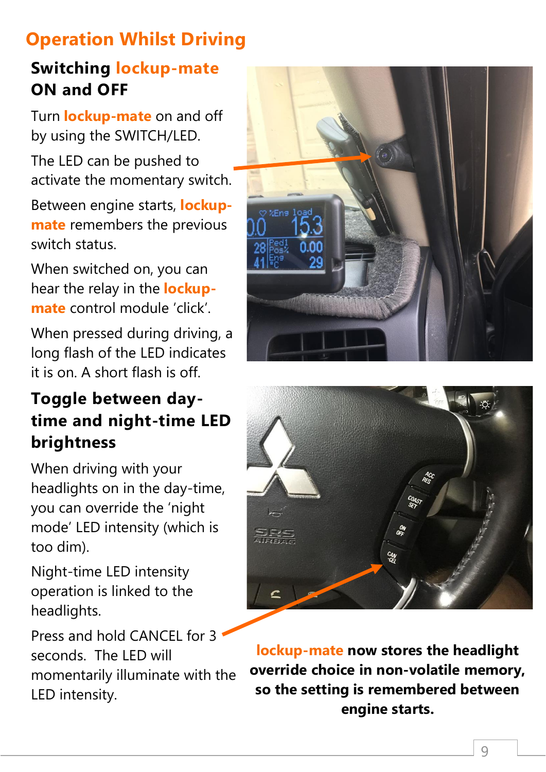# **Operation Whilst Driving**

### **Switching lockup-mate ON and OFF**

Turn **lockup-mate** on and off by using the SWITCH/LED.

The LED can be pushed to activate the momentary switch.

Between engine starts, **lockupmate** remembers the previous switch status.

When switched on, you can hear the relay in the **lockupmate** control module 'click'.

When pressed during driving, a long flash of the LED indicates it is on. A short flash is off.

### **Toggle between daytime and night-time LED brightness**

When driving with your headlights on in the day-time, you can override the 'night mode' LED intensity (which is too dim).

Night-time LED intensity operation is linked to the headlights.

Press and hold CANCEL for 3 seconds. The LED will momentarily illuminate with the LED intensity.





**lockup-mate now stores the headlight override choice in non-volatile memory, so the setting is remembered between engine starts.**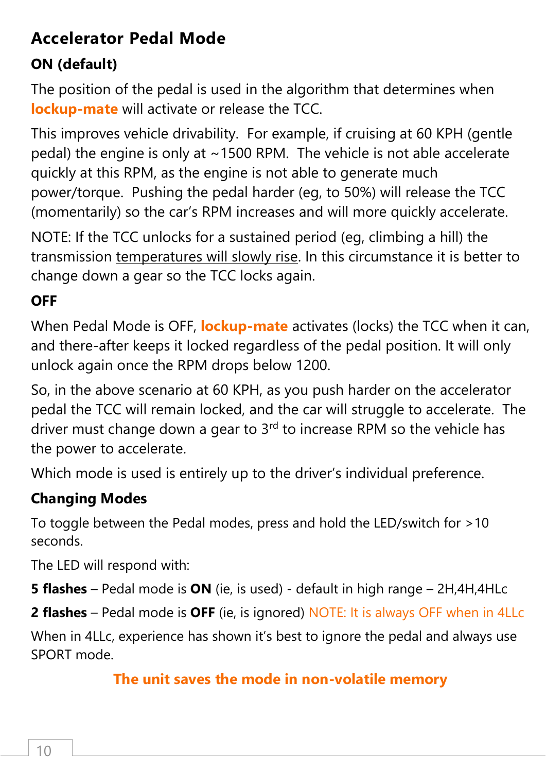### **Accelerator Pedal Mode**

### **ON (default)**

The position of the pedal is used in the algorithm that determines when **lockup-mate** will activate or release the TCC.

This improves vehicle drivability. For example, if cruising at 60 KPH (gentle pedal) the engine is only at ~1500 RPM. The vehicle is not able accelerate quickly at this RPM, as the engine is not able to generate much power/torque. Pushing the pedal harder (eg, to 50%) will release the TCC (momentarily) so the car's RPM increases and will more quickly accelerate.

NOTE: If the TCC unlocks for a sustained period (eg, climbing a hill) the transmission temperatures will slowly rise. In this circumstance it is better to change down a gear so the TCC locks again.

### **OFF**

When Pedal Mode is OFF, **lockup-mate** activates (locks) the TCC when it can, and there-after keeps it locked regardless of the pedal position. It will only unlock again once the RPM drops below 1200.

So, in the above scenario at 60 KPH, as you push harder on the accelerator pedal the TCC will remain locked, and the car will struggle to accelerate. The driver must change down a gear to 3<sup>rd</sup> to increase RPM so the vehicle has the power to accelerate.

Which mode is used is entirely up to the driver's individual preference.

### **Changing Modes**

To toggle between the Pedal modes, press and hold the LED/switch for >10 seconds.

The LED will respond with:

**5 flashes** – Pedal mode is **ON** (ie, is used) - default in high range – 2H,4H,4HLc

**2 flashes** – Pedal mode is **OFF** (ie, is ignored) NOTE: It is always OFF when in 4LLc

When in 4LLc, experience has shown it's best to ignore the pedal and always use SPORT mode.

### **The unit saves the mode in non-volatile memory**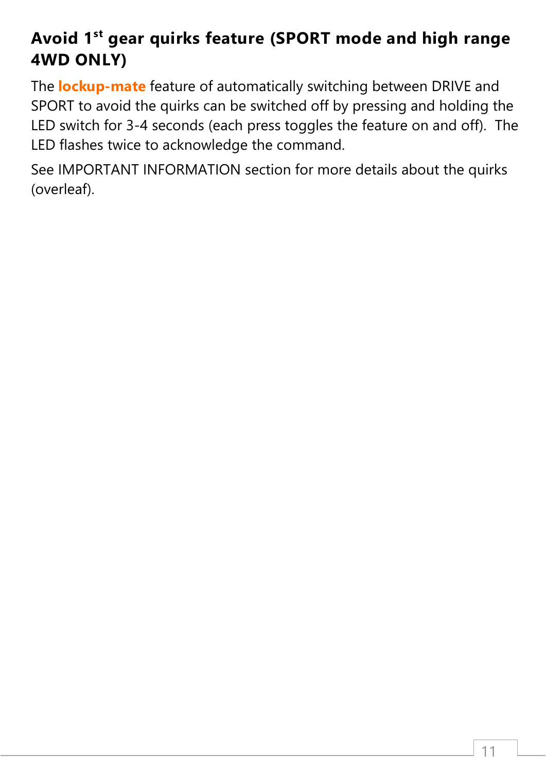### **Avoid 1 st gear quirks feature (SPORT mode and high range 4WD ONLY)**

The **lockup-mate** feature of automatically switching between DRIVE and SPORT to avoid the quirks can be switched off by pressing and holding the LED switch for 3-4 seconds (each press toggles the feature on and off). The LED flashes twice to acknowledge the command.

See IMPORTANT INFORMATION section for more details about the quirks (overleaf).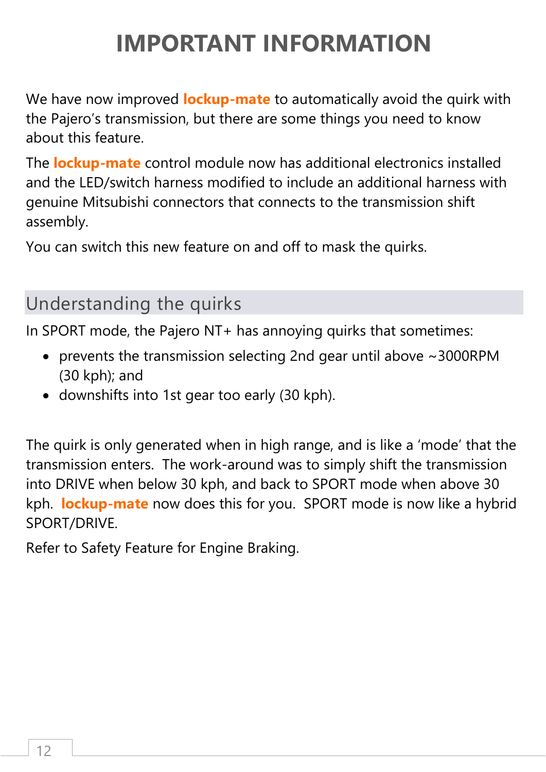# **IMPORTANT INFORMATION**

We have now improved **lockup-mate** to automatically avoid the quirk with the Pajero's transmission, but there are some things you need to know about this feature.

The **lockup-mate** control module now has additional electronics installed and the LED/switch harness modified to include an additional harness with genuine Mitsubishi connectors that connects to the transmission shift assembly.

You can switch this new feature on and off to mask the quirks.

### Understanding the quirks

In SPORT mode, the Pajero NT+ has annoying quirks that sometimes:

- prevents the transmission selecting 2nd gear until above ~3000RPM (30 kph); and
- downshifts into 1st gear too early (30 kph).

The quirk is only generated when in high range, and is like a 'mode' that the transmission enters. The work-around was to simply shift the transmission into DRIVE when below 30 kph, and back to SPORT mode when above 30 kph. **lockup-mate** now does this for you. SPORT mode is now like a hybrid SPORT/DRIVE.

Refer to Safety Feature for Engine Braking.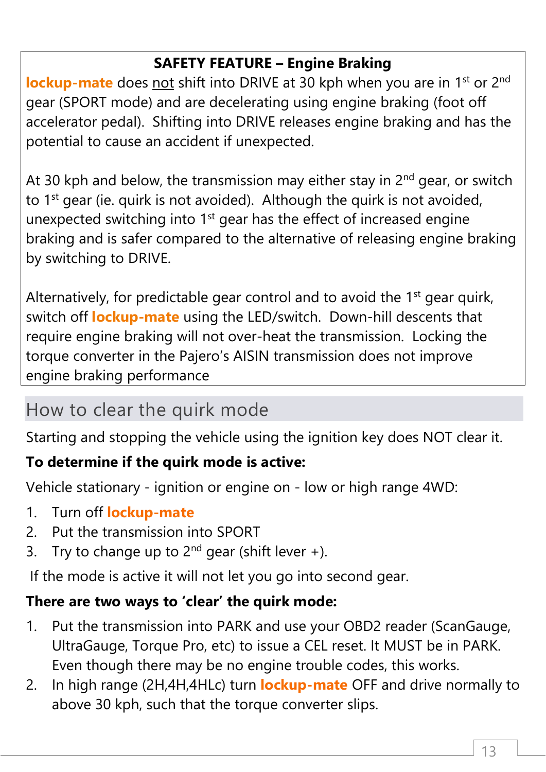### **SAFETY FEATURE – Engine Braking**

**lockup-mate** does not shift into DRIVE at 30 kph when you are in 1<sup>st</sup> or 2<sup>nd</sup> gear (SPORT mode) and are decelerating using engine braking (foot off accelerator pedal). Shifting into DRIVE releases engine braking and has the potential to cause an accident if unexpected.

At 30 kph and below, the transmission may either stay in  $2^{nd}$  gear, or switch to 1<sup>st</sup> gear (ie. quirk is not avoided). Although the quirk is not avoided, unexpected switching into 1<sup>st</sup> gear has the effect of increased engine braking and is safer compared to the alternative of releasing engine braking by switching to DRIVE.

Alternatively, for predictable gear control and to avoid the 1<sup>st</sup> gear quirk, switch off **lockup-mate** using the LED/switch. Down-hill descents that require engine braking will not over-heat the transmission. Locking the torque converter in the Pajero's AISIN transmission does not improve engine braking performance

### How to clear the quirk mode

Starting and stopping the vehicle using the ignition key does NOT clear it.

### **To determine if the quirk mode is active:**

Vehicle stationary - ignition or engine on - low or high range 4WD:

- 1. Turn off **lockup-mate**
- 2. Put the transmission into SPORT
- 3. Try to change up to  $2^{nd}$  gear (shift lever +).

If the mode is active it will not let you go into second gear.

### **There are two ways to 'clear' the quirk mode:**

- 1. Put the transmission into PARK and use your OBD2 reader (ScanGauge, UltraGauge, Torque Pro, etc) to issue a CEL reset. It MUST be in PARK. Even though there may be no engine trouble codes, this works.
- 2. In high range (2H,4H,4HLc) turn **lockup-mate** OFF and drive normally to above 30 kph, such that the torque converter slips.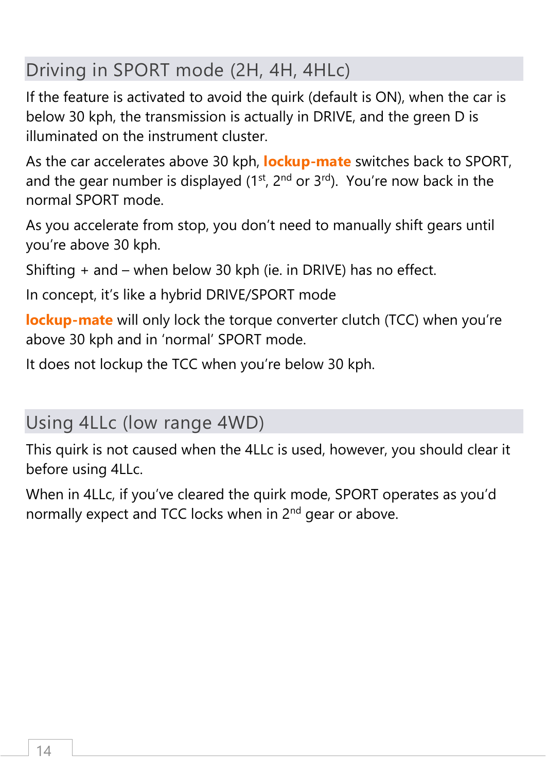# Driving in SPORT mode (2H, 4H, 4HLc)

If the feature is activated to avoid the quirk (default is ON), when the car is below 30 kph, the transmission is actually in DRIVE, and the green D is illuminated on the instrument cluster.

As the car accelerates above 30 kph, **lockup-mate** switches back to SPORT, and the gear number is displayed  $(1^{st}, 2^{nd}$  or  $3^{rd})$ . You're now back in the normal SPORT mode.

As you accelerate from stop, you don't need to manually shift gears until you're above 30 kph.

Shifting + and – when below 30 kph (ie. in DRIVE) has no effect.

In concept, it's like a hybrid DRIVE/SPORT mode

**lockup-mate** will only lock the torque converter clutch (TCC) when you're above 30 kph and in 'normal' SPORT mode.

It does not lockup the TCC when you're below 30 kph.

### Using 4LLc (low range 4WD)

This quirk is not caused when the 4LLc is used, however, you should clear it before using 4LLc.

When in 4LLc, if you've cleared the quirk mode, SPORT operates as you'd normally expect and TCC locks when in 2<sup>nd</sup> gear or above.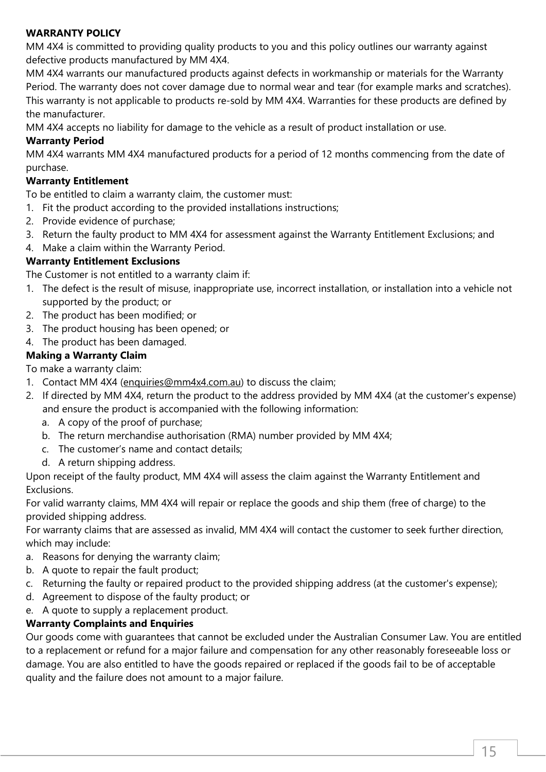#### **WARRANTY POLICY**

MM 4X4 is committed to providing quality products to you and this policy outlines our warranty against defective products manufactured by MM 4X4.

MM 4X4 warrants our manufactured products against defects in workmanship or materials for the Warranty Period. The warranty does not cover damage due to normal wear and tear (for example marks and scratches). This warranty is not applicable to products re-sold by MM 4X4. Warranties for these products are defined by the manufacturer.

MM 4X4 accepts no liability for damage to the vehicle as a result of product installation or use.

#### **Warranty Period**

MM 4X4 warrants MM 4X4 manufactured products for a period of 12 months commencing from the date of purchase.

#### **Warranty Entitlement**

To be entitled to claim a warranty claim, the customer must:

- 1. Fit the product according to the provided installations instructions;
- 2. Provide evidence of purchase;
- 3. Return the faulty product to MM 4X4 for assessment against the Warranty Entitlement Exclusions; and
- 4. Make a claim within the Warranty Period.

### **Warranty Entitlement Exclusions**

The Customer is not entitled to a warranty claim if:

- 1. The defect is the result of misuse, inappropriate use, incorrect installation, or installation into a vehicle not supported by the product; or
- 2. The product has been modified; or
- 3. The product housing has been opened; or
- 4. The product has been damaged.

### **Making a Warranty Claim**

To make a warranty claim:

- 1. Contact MM 4X4 (enquiries@mm4x4.com.au) to discuss the claim;
- 2. If directed by MM 4X4, return the product to the address provided by MM 4X4 (at the customer's expense) and ensure the product is accompanied with the following information:
	- a. A copy of the proof of purchase;
	- b. The return merchandise authorisation (RMA) number provided by MM 4X4;
	- c. The customer's name and contact details;
	- d. A return shipping address.

Upon receipt of the faulty product, MM 4X4 will assess the claim against the Warranty Entitlement and Exclusions.

For valid warranty claims, MM 4X4 will repair or replace the goods and ship them (free of charge) to the provided shipping address.

For warranty claims that are assessed as invalid, MM 4X4 will contact the customer to seek further direction, which may include:

- a. Reasons for denying the warranty claim;
- b. A quote to repair the fault product;
- c. Returning the faulty or repaired product to the provided shipping address (at the customer's expense);
- d. Agreement to dispose of the faulty product; or
- e. A quote to supply a replacement product.

### **Warranty Complaints and Enquiries**

Our goods come with guarantees that cannot be excluded under the Australian Consumer Law. You are entitled to a replacement or refund for a major failure and compensation for any other reasonably foreseeable loss or damage. You are also entitled to have the goods repaired or replaced if the goods fail to be of acceptable quality and the failure does not amount to a major failure.